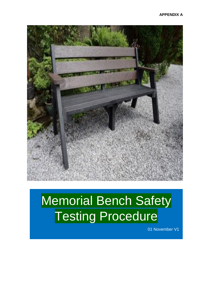

# Memorial Bench Safety Testing Procedure

01 November V1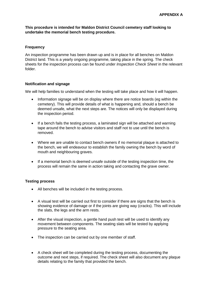#### **This procedure is intended for Maldon District Council cemetery staff looking to undertake the memorial bench testing procedure.**

#### **Frequency**

An inspection programme has been drawn up and is in place for all benches on Maldon District land. This is a yearly ongoing programme, taking place in the spring. The check sheets for the inspection process can be found under *Inspection Check Sheet* in the relevant folder.

### **Notification and signage**

We will help families to understand when the testing will take place and how it will happen.

- Information signage will be on display where there are notice boards (eg within the cemetery). This will provide details of what is happening and, should a bench be deemed unsafe, what the next steps are. The notices will only be displayed during the inspection period.
- If a bench fails the testing process, a laminated sign will be attached and warning tape around the bench to advise visitors and staff not to use until the bench is removed.
- Where we are unable to contact bench owners if no memorial plaque is attached to the bench, we will endeavour to establish the family owning the bench by word of mouth and neighbouring graves.
- If a memorial bench is deemed unsafe outside of the testing inspection time, the process will remain the same in action taking and contacting the grave owner.

#### **Testing process**

- All benches will be included in the testing process.
- A visual test will be carried out first to consider if there are signs that the bench is showing evidence of damage or if the joints are giving way (cracks). This will include the slats, the legs and the arm rests.
- After the visual inspection, a gentle hand push test will be used to identify any movement between components. The seating slats will be tested by applying pressure to the seating area.
- The inspection can be carried out by one member of staff.
- A check sheet will be completed during the testing process, documenting the outcome and next steps, if required. The check sheet will also document any plaque details relating to the family that provided the bench.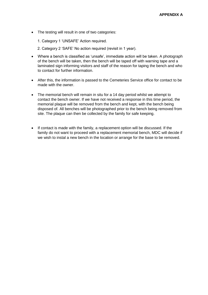• The testing will result in one of two categories:

1. Category 1 'UNSAFE' Action required.

2. Category 2 'SAFE' No action required (revisit in 1 year).

- Where a bench is classified as 'unsafe', immediate action will be taken. A photograph of the bench will be taken, then the bench will be taped off with warning tape and a laminated sign informing visitors and staff of the reason for taping the bench and who to contact for further information.
- After this, the information is passed to the Cemeteries Service office for contact to be made with the owner.
- The memorial bench will remain in situ for a 14 day period whilst we attempt to contact the bench owner. If we have not received a response in this time period, the memorial plaque will be removed from the bench and kept, with the bench being disposed of. All benches will be photographed prior to the bench being removed from site. The plaque can then be collected by the family for safe keeping.
- If contact is made with the family, a replacement option will be discussed. If the family do not want to proceed with a replacement memorial bench, MDC will decide if we wish to instal a new bench in the location or arrange for the base to be removed.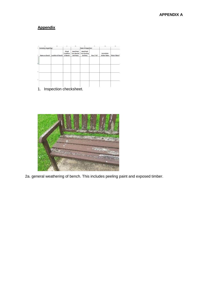## **Appendix**

| A                                                | B                        | ċ                                 | D                                           | Ė                                        | F           | G                   | H                   |  |
|--------------------------------------------------|--------------------------|-----------------------------------|---------------------------------------------|------------------------------------------|-------------|---------------------|---------------------|--|
| <b>Cemetery Inspecting:</b>                      |                          |                                   |                                             | <b>Date of Inspection:</b>               |             |                     |                     |  |
|                                                  |                          | <b>Visual</b><br><b>Condition</b> | <b>Hand Push</b><br><b>Test (Back &amp;</b> | <b>Hand Push</b><br><b>Test (Seating</b> |             | <b>Immediate</b>    |                     |  |
| <b>Name on Bench</b>                             | <b>Location of Bench</b> | of Bench                          | <b>Arm Rest)</b>                            | Section)                                 | Pass / Fail | <b>Action Taken</b> | <b>Photo Taken?</b> |  |
|                                                  |                          |                                   |                                             |                                          |             |                     |                     |  |
|                                                  |                          |                                   |                                             |                                          |             |                     |                     |  |
|                                                  |                          |                                   |                                             |                                          |             |                     |                     |  |
|                                                  |                          |                                   |                                             |                                          |             |                     |                     |  |
|                                                  |                          |                                   |                                             |                                          |             |                     |                     |  |
|                                                  |                          |                                   |                                             |                                          |             |                     |                     |  |
|                                                  |                          |                                   |                                             |                                          |             |                     |                     |  |
|                                                  |                          |                                   |                                             |                                          |             |                     |                     |  |
|                                                  |                          |                                   |                                             |                                          |             |                     |                     |  |
| the control of a substantial control<br>п.,<br>◢ |                          |                                   |                                             |                                          |             |                     |                     |  |

1. Inspection checksheet.



2a. general weathering of bench. This includes peeling paint and exposed timber.